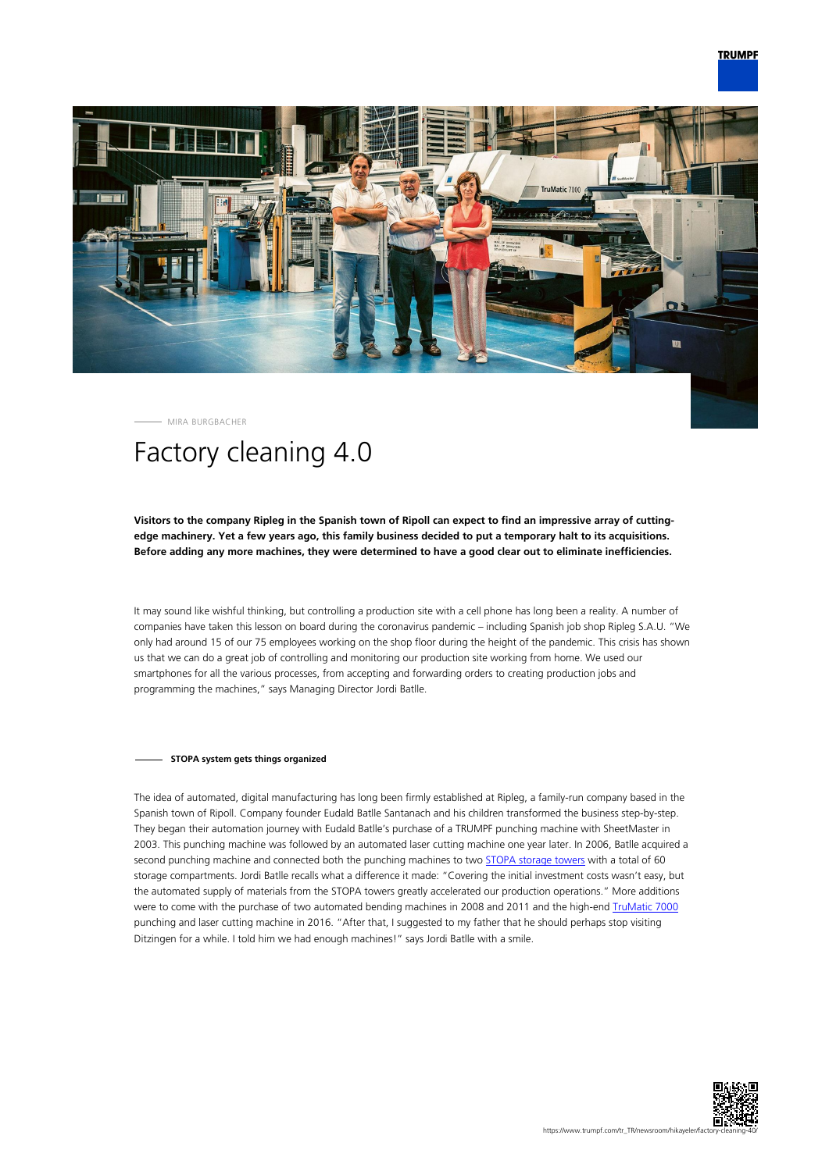

MIRA BURGBACHER

# Factory cleaning 4.0

## **Visitors to the company Ripleg in the Spanish town of Ripoll can expect to find an impressive array of cuttingedge machinery. Yet a few years ago, this family business decided to put a temporary halt to its acquisitions. Before adding any more machines, they were determined to have a good clear out to eliminate inefficiencies.**

It may sound like wishful thinking, but controlling a production site with a cell phone has long been a reality. A number of companies have taken this lesson on board during the coronavirus pandemic – including Spanish job shop Ripleg S.A.U. "We only had around 15 of our 75 employees working on the shop floor during the height of the pandemic. This crisis has shown us that we can do a great job of controlling and monitoring our production site working from home. We used our smartphones for all the various processes, from accepting and forwarding orders to creating production jobs and programming the machines," says Managing Director Jordi Batlle.

### **STOPA system gets things organized**

The idea of automated, digital manufacturing has long been firmly established at Ripleg, a family-run company based in the Spanish town of Ripoll. Company founder Eudald Batlle Santanach and his children transformed the business step-by-step. They began their automation journey with Eudald Batlle's purchase of a TRUMPF punching machine with SheetMaster in 2003. This punching machine was followed by an automated laser cutting machine one year later. In 2006, Batlle acquired a second punching machine and connected both the punching machines to two [STOPA storage towers](https://www.trumpf.com/en_INT/products/machines-systems/storage-systems/) with a total of 60 storage compartments. Jordi Batlle recalls what a difference it made: "Covering the initial investment costs wasn't easy, but the automated supply of materials from the STOPA towers greatly accelerated our production operations." More additions were to come with the purchase of two automated bending machines in 2008 and 2011 and the high-end [TruMatic 7000](https://www.trumpf.com/en_INT/products/machines-systems/punch-laser-machines/trumatic-7000/) punching and laser cutting machine in 2016. "After that, I suggested to my father that he should perhaps stop visiting Ditzingen for a while. I told him we had enough machines!" says Jordi Batlle with a smile.

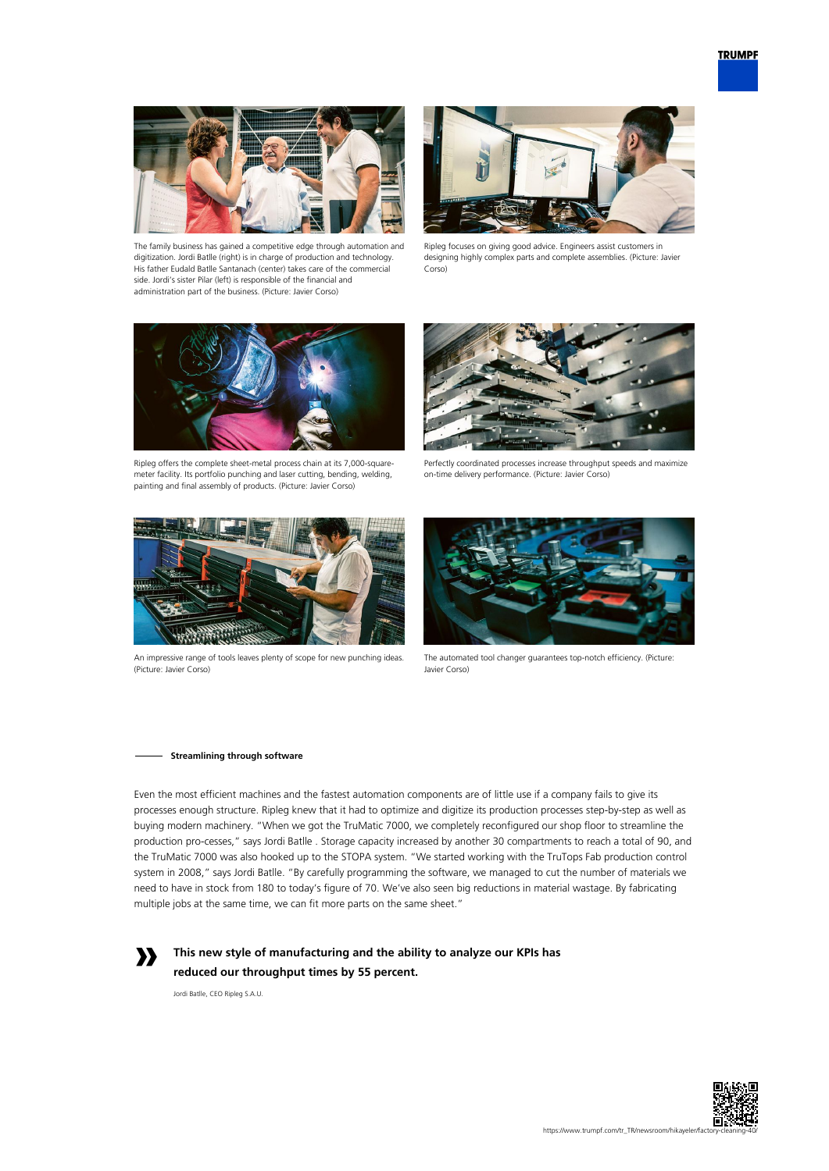

The family business has gained a competitive edge through automation and digitization. Jordi Batlle (right) is in charge of production and technology. His father Eudald Batlle Santanach (center) takes care of the commercial side. Jordi's sister Pilar (left) is responsible of the financial and administration part of the business. (Picture: Javier Corso)



Ripleg focuses on giving good advice. Engineers assist customers in designing highly complex parts and complete assemblies. (Picture: Javier Corso)



Ripleg offers the complete sheet-metal process chain at its 7,000-squaremeter facility. Its portfolio punching and laser cutting, bending, welding, painting and final assembly of products. (Picture: Javier Corso)

![](_page_1_Picture_7.jpeg)

Perfectly coordinated processes increase throughput speeds and maximize on-time delivery performance. (Picture: Javier Corso)

![](_page_1_Picture_9.jpeg)

An impressive range of tools leaves plenty of scope for new punching ideas. (Picture: Javier Corso)

![](_page_1_Picture_11.jpeg)

The automated tool changer guarantees top-notch efficiency. (Picture: Javier Corso)

#### **Streamlining through software**

Even the most efficient machines and the fastest automation components are of little use if a company fails to give its processes enough structure. Ripleg knew that it had to optimize and digitize its production processes step-by-step as well as buying modern machinery. "When we got the TruMatic 7000, we completely reconfigured our shop floor to streamline the production pro-cesses," says Jordi Batlle . Storage capacity increased by another 30 compartments to reach a total of 90, and the TruMatic 7000 was also hooked up to the STOPA system. "We started working with the TruTops Fab production control system in 2008," says Jordi Batlle. "By carefully programming the software, we managed to cut the number of materials we need to have in stock from 180 to today's figure of 70. We've also seen big reductions in material wastage. By fabricating multiple jobs at the same time, we can fit more parts on the same sheet."

![](_page_1_Picture_15.jpeg)

**This new style of manufacturing and the ability to analyze our KPIs has reduced our throughput times by 55 percent.** 

Jordi Batlle, CEO Ripleg S.A.U.

![](_page_1_Picture_18.jpeg)